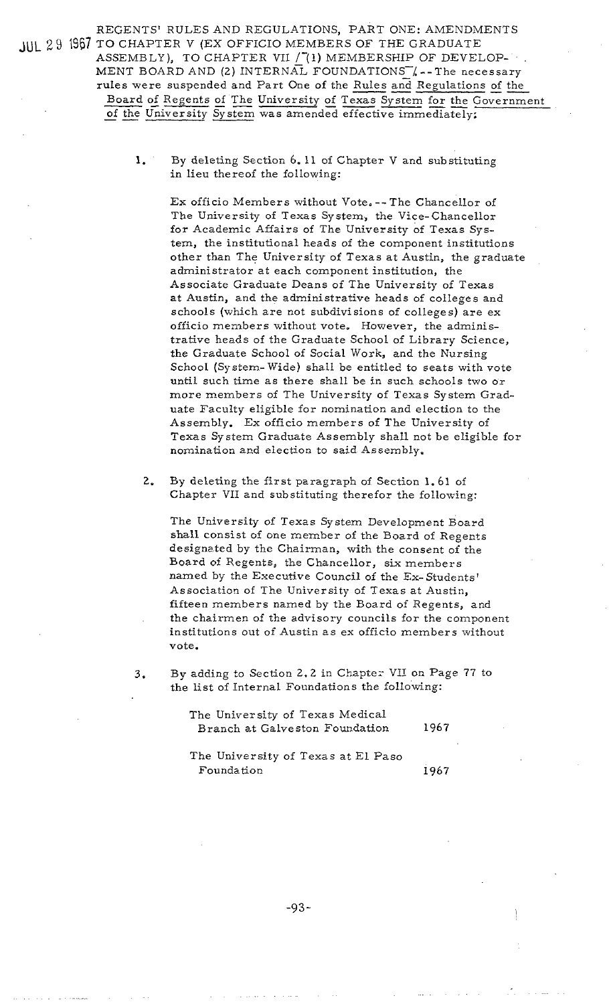REGENTS' RULES AND REGULATIONS, PART ONE: AMENDMENTS JUL 29 1967 TO CHAPTER V (EX OFFICIO MEMBERS OF THE GRADUATE ASSEMBLY), TO CHAPTER VII / (1) MEMBERSHIP OF DEVELOP-MENT BOARD AND (2) INTERNAL FOUNDATIONS 4-The necessary rules were suspended and Part One of the Rules and Regulations of the rules were sumprised were sumprised and Part One of the GRADUATE<br>ASSEMBLY), TO CHAPTER VII /(1) MEMBERSHIP OF DEVELOP-<br>MENT BOARD AND (2) INTERNAL FOUNDATIONS  $\mathcal{L}$  -- The necessary<br>rules were suspended and Part One of ules were suspended and Part One of the Rules and Regulation<br>Board of Regents of The University of Texas System for the C<br>of the University System was amended effective immediately:

> **1.** By deleting Section 6. 11 of Chapter V and substituting in lieu thereof the following:

Ex officio Members without Vote, -- The Chancellor of The University of Texas System, the Vice-chancellor for Academic Affairs of The University of Texas System, the institutional heads of the component institutions other than The University of Texas at Austin, the graduate administrator at each component institution, the Associate Graduate Deans of The University of Texas at Austin, and the administrative heads of colleges and schools (which are not subdivisions of colleges) are ex officio members without vote, However, the administrative heads of the Graduate School of Library Science, the Graduate School of Social Work, and the Nursing School (System- Wide) shall be entitled to seats with vote until such time as there shall be in such schools two or more members of The University of Texas System Graduate Faculty eligible for nomination and election to the Assembly. Ex officio members of The University of Texas System Graduate Assembly shall not be eligible for nomination ard election to said Assembly.

**2.** By deleting the first paragraph of Section 1.61 of Chapter VII and substituting therefor the following:

The University of Texas System Development Board shall consist of one member of the Board of Regents designated by the Chairman, with the consent of the Board oi Regents, the Chancellor, six members named by the Executive Council of the Ex-Students' Association of The University of Texas at Austin, fifteen members named by the Board of Regents, and the chairmen of the advisory councils for the component institutions out of Austin as ex officio members without vote.

3. By adding to Section 2.2 in Chapter VII on Page 77 to the list of Internal Foundations the following:

> The University of Texas Medical Branch at Galveston Foundation 1967

> The University of Texas at El Paso Foundation 1967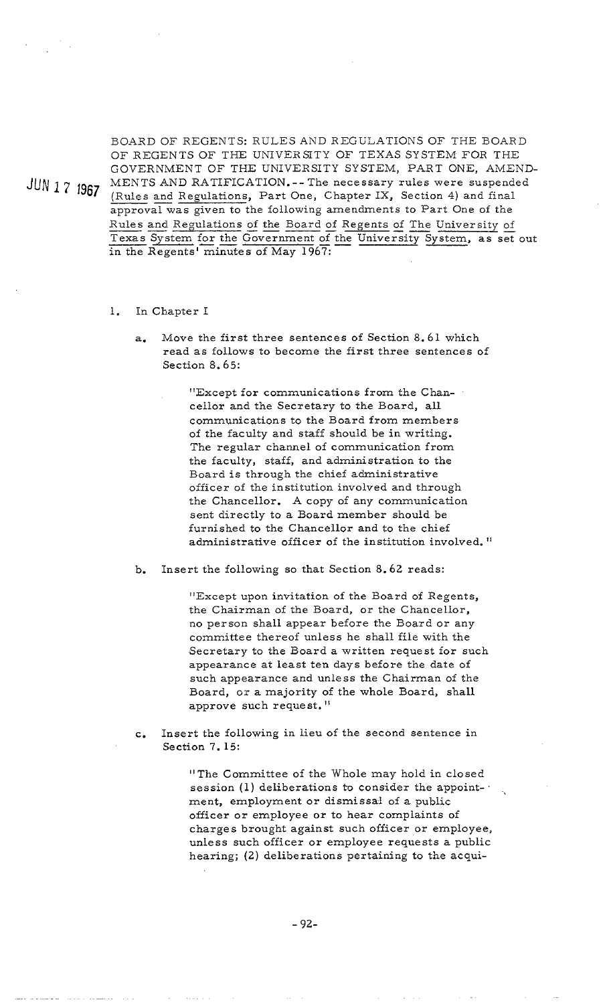BOARD OF REGENTS: RULES AND REGULATIONS OF THE BOARD OF REGENTS OF THE UNIVERSITY OF TEXAS SYSTEM FOR THE GOVERNMENT OF THE UNIVERSITY SYSTEM, PART ONE. AMEND-JUN 1 7 1967 MENTS AND RATIFICATION. -- The necessary rules were suspended (Rules and Regulations, Part One, Chapter IX, Section 4) and final GENTS<br>NMEN<br>: AND F<br>and Reg<br>al was g (Rules and Regulations, Part One, Chapter IX, Section 4) and final approval was given to the following amendments to Part One of the BOARD OF REGENTS: RULES AND REGULATIONS OF THE BOARD<br>OF REGENTS OF THE UNIVERSITY OF TEXAS SYSTEM FOR THE<br>GOVERNMENT OF THE UNIVERSITY SYSTEM, PART ONE, AMEND-<br>MENTS AND RATIFICATION.-- The necessary rules were suspended<br>( in the Regents' minutes of May 1967:

- 1. In Chapter I
	- **a.** Move the first three sentences of Section 8.61 which read as follows to become the first three sentences of Section 8.65:

"Except for communications from the Chancellor and the Secretary to the Board, all communications to the Board from members of the faculty and staff should be in writing. The regular channel of communication from the faculty, staff, and administration to the Board is through the chief administrative officer of the institution involved and through the Chancellor. A copy of any communication sent directly to a Board member should be furnished to the Chancellor and to the chief administrative officer of the institution involved. "

**b.** Insert the following so that Section 8.62 reads:

"Except upon invitation of the Board of Regents, the Chairman of the Board, or the Chancellor, no person shall appear before the Board or any committee thereof unless he shall file with the Secretary to the Board a written request for such appearance at least ten days before the date of such appearance and unless the Chairman of the Board, or a majority of the whole Board, shall approve such request."

c. Insert the following in lieu of the second sentence in Section 7. 15:

> "The Committee of the Whole may hold in closed session (1) deliberations to consider the appointment, employment or dismissal of a public officer or employee or to hear complaints of charges brought against such officer or employee, unless such officer or employee requests a public hearing; (2) deliberations pertaining to the acqui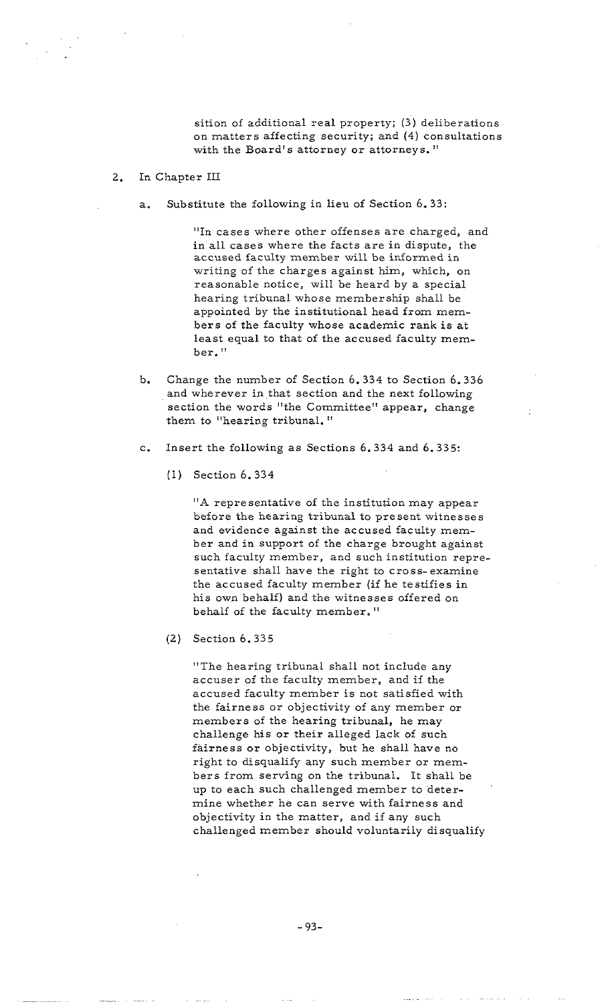sition of additional real property; **(3')** deliberations on matters affecting security; and (4) consultations with the Board's attorney or attorneys. "

- 2. In Chapter 111
	- a. Substitute the following in lieu of Section 6.33:

"In cases where other offenses are charged, and in all cases where the facts are in dispute, the accused faculty member will be informed in writing of the charges against him, which, on reasonable notice, will be heard by a special hearing tribunal whose membership shall be appointed by the institutional head from members of the faculty whose academic rank is at least equal to that of the accused faculty member. "

- b. Change the number of Section 6.334 to Section 6.336 and wherever in that section and the next following section the words "the Committee" appear, change them to "hearing tribunal."
- c. Insert the following as Sections 6.334 and 6.335:
	- $(1)$  Section  $6,334$

"A representative of the institution may appear before the hearing tribunal to present witnesses and evidence against the accused faculty member and in support of the charge brought against such faculty member, and such institution representative shall have the right to cross-examine the accused faculty member (if he testifies in his own behalf) and the witnesses offered on behalf of the faculty member. "

 $(2)$  Section 6.335

"The hearing tribunal shall not include any accuser of the faculty member, and if the accused faculty member is not satisfied with the fairness or objectivity of any member or members of the hearing tribunal, he may challenge his or their alleged lack of such fairness or objectivity, but he shall have no right to disqualify any such member or members from serving on the tribunal. It shall be up to each such challenged member to determine whether he can serve with fairness and objectivity in the matter, and if any such challenged member should voluntarily disqualify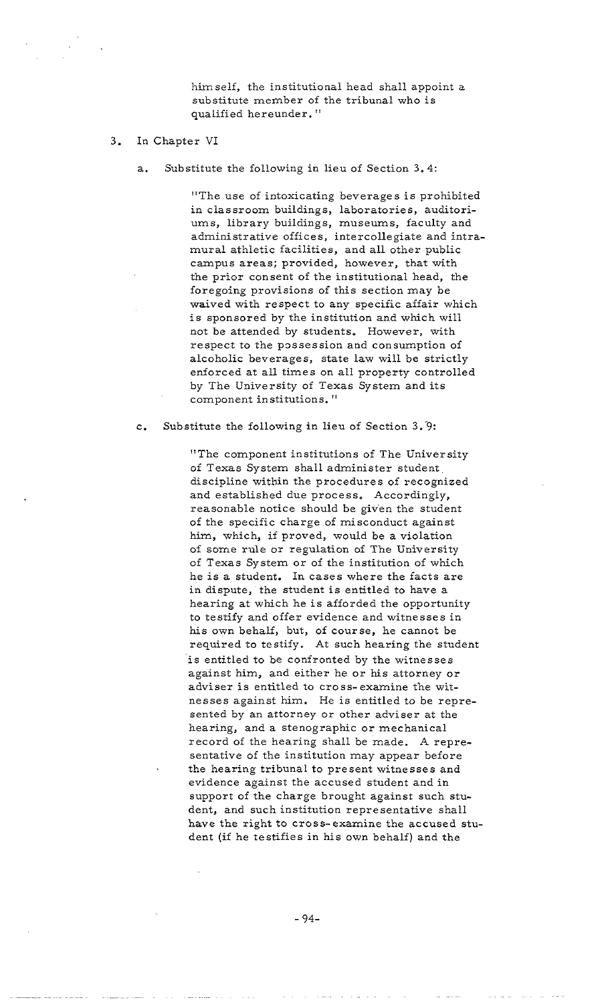himself, the institutional head shall appoint *a*  substitute member of the tribunal who is qualified hereunder. "

## 3. In Chapter VI

a. Substitute the following in lieu of Section 3.4:

"The use of intoxicating beverages is prohibited in classroom buildings, laboratories, auditoriums, library buildings, museums, faculty and administrative offices, intercollegiate and intramural athletic facilities, and all other public campus areas; provided, however, that with the prior consent of the institutional head, the foregoing provisions of this section may be waived with respect to any specific affair which is sponsored by the institution and which will not be attended by students. However, with respect to the possession and consumption of alcoholic beverages, state law will be strictly enforced at all times on all property controlled by The University of Texas System and its component institutions. "

c. Substitute the following in lieu of Section 3.'9:

"The component institutions of The University of Texas System shall administer student discipline within the procedures of recognized and established due process, Accordingly, reasonable notice should be given the student of the specific charge of misconduct against him, which, if proved, would be a violation of some rule or regulation of The University of Texas System or of the institution of which he is a student. In cases where the facts are in dispute, the student is entitled to have a hearing at which he is afforded the opportunity to testify and offer evidence and witnesses in his own behalf, but, of course, he cannot be required to testify. At such hearing the student is entitled to be confronted by the witnesses against him, and either he or his attorney or adviser is entitled to cross-examine the witnesses against him. He is entitled to be represented by an attorney or other adviser at the hearing, and a stenographic or mechanical record of the hearing shall be made. A representative of the institution may appear before the hearing tribunal to present witnesses and evidence against the accused student and in support of the charge brought against such student, and such institution representative shall have the right to cross-examine the accused student (if he testifies in his own behalf) and the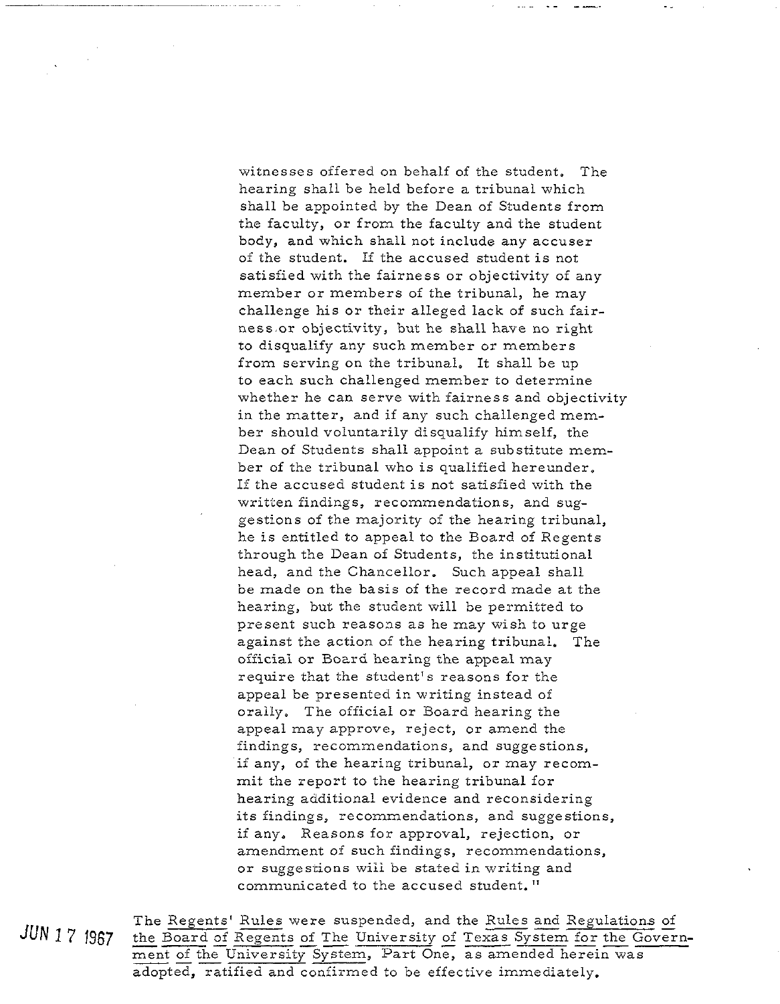witnesses offered on behalf of the student. The hearing shall be held before a tribunal which shall be appointed by the Dean of Students from the faculty, or from the faculty and the student body, and which shall not include any accuser of the student. If the accused student is not satisfied with the fairness or objectivity of any member or members of the tribunal, he may challenge his or their alleged lack of such fairness or objectivity, but he shall have no right to disqualify any such member or members from serving on the tribunal. It shall be up to each such challenged member to determine whether he can serve with fairness and objectivity in the matter, and if any such challenged member should voluntarily disqualify himself, the Dean of Students shall appoint a substitute member of the tribunal who is qualified hereunder, If the accused student is not satisfied with the written findings, recommendations, and suggestions of the majority of the hearing tribunal, he is entitled to appeal to the Board of Regents through the Dean of Students, the institutional head, and the Chancellor. Such appeal shall be made on the basis of the record made at the hearing, but the student will be permitted to present such reasons as he may wish to urge against the action of the hearing tribunal. The officiai or Board hearing the appeal may require that the student's reasons for the appeal be presented in writing instead of orally. The official or Board hearing the appeal may approve, reject, or amend the findings, recommendations, and suggestions, if any, of the hearing tribunal, or may recommit the report to the hearing tribunal for hearing additional evidence and reconsidering its findings, recommendations, and suggestions, if any, Reasons for approval, rejection, or amendment of such findings, recommendations, or suggestions wiii be stated in writing and communicated to the accused student. "

or suggestions will be stated in writing and<br>communicated to the accused student."<br>The Regents' Rules were suspended, and the Rules and Regulations of<br>the Board of Regents of The University of Texas System for the Gover communicated to the accused student."<br>The Regents' Rules were suspended, and the Rules and Regulations of<br>the Board of Regents of The University of Texas System for the Govern-<br>ment of the University System, Part One, as a adopted, ratified and confirmed to be effective immediately.